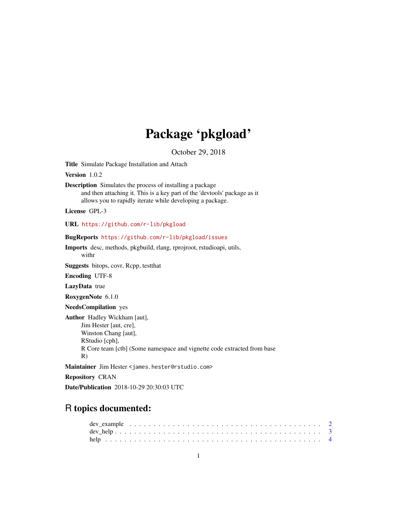# Package 'pkgload'

October 29, 2018

<span id="page-0-0"></span>Title Simulate Package Installation and Attach

Version 1.0.2

Description Simulates the process of installing a package and then attaching it. This is a key part of the 'devtools' package as it allows you to rapidly iterate while developing a package.

License GPL-3

URL <https://github.com/r-lib/pkgload>

BugReports <https://github.com/r-lib/pkgload/issues>

Imports desc, methods, pkgbuild, rlang, rprojroot, rstudioapi, utils, withr

Suggests bitops, covr, Rcpp, testthat

Encoding UTF-8

LazyData true

RoxygenNote 6.1.0

NeedsCompilation yes

Author Hadley Wickham [aut], Jim Hester [aut, cre], Winston Chang [aut], RStudio [cph], R Core team [ctb] (Some namespace and vignette code extracted from base R)

Maintainer Jim Hester <james.hester@rstudio.com>

Repository CRAN

Date/Publication 2018-10-29 20:30:03 UTC

# R topics documented:

| $dev_{\text{help}} \dots \dots \dots \dots \dots \dots \dots \dots \dots \dots \dots \dots \dots \dots \dots \dots \dots$ |  |
|---------------------------------------------------------------------------------------------------------------------------|--|
|                                                                                                                           |  |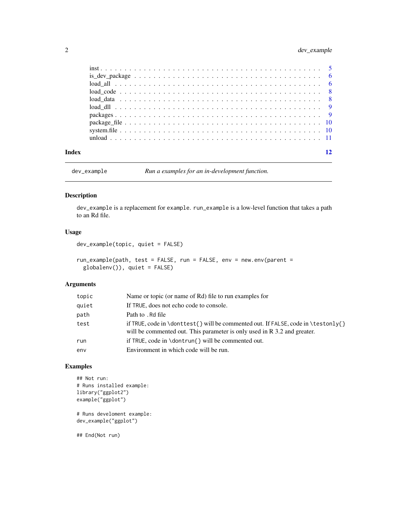# <span id="page-1-0"></span>2 dev\_example

| Index |  |
|-------|--|
|       |  |
|       |  |
|       |  |
|       |  |
|       |  |
|       |  |
|       |  |
|       |  |
|       |  |
|       |  |

dev\_example *Run a examples for an in-development function.*

# Description

dev\_example is a replacement for example. run\_example is a low-level function that takes a path to an Rd file.

# Usage

```
dev_example(topic, quiet = FALSE)
```

```
run_example(path, test = FALSE, run = FALSE, env = new.env(parent =
 globalenv()), quiet = FALSE)
```
#### Arguments

| topic | Name or topic (or name of Rd) file to run examples for                                                                                                           |
|-------|------------------------------------------------------------------------------------------------------------------------------------------------------------------|
| quiet | If TRUE, does not echo code to console.                                                                                                                          |
| path  | Path to . Rd file                                                                                                                                                |
| test  | if TRUE, code in \donttest{ \ will be commented out. If FALSE, code in \testonly{ \}<br>will be commented out. This parameter is only used in R 3.2 and greater. |
| run   | if TRUE, code in $\dot{\mathcal{S}}$ will be commented out.                                                                                                      |
| env   | Environment in which code will be run.                                                                                                                           |
|       |                                                                                                                                                                  |

# Examples

```
## Not run:
# Runs installed example:
library("ggplot2")
example("ggplot")
```
# Runs develoment example: dev\_example("ggplot")

## End(Not run)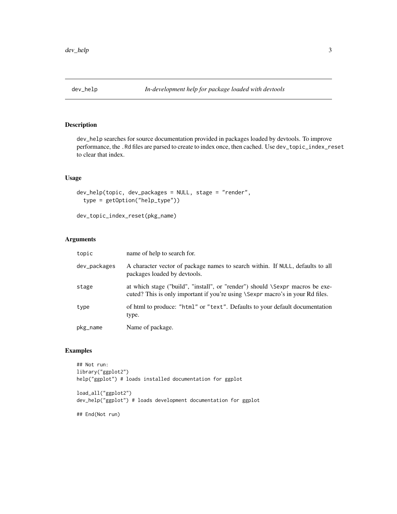<span id="page-2-0"></span>

dev\_help searches for source documentation provided in packages loaded by devtools. To improve performance, the .Rd files are parsed to create to index once, then cached. Use dev\_topic\_index\_reset to clear that index.

# Usage

```
dev_help(topic, dev_packages = NULL, stage = "render",
  type = getOption("help_type"))
```

```
dev_topic_index_reset(pkg_name)
```
# Arguments

| topic        | name of help to search for.                                                                                                                                     |
|--------------|-----------------------------------------------------------------------------------------------------------------------------------------------------------------|
| dev_packages | A character vector of package names to search within. If NULL, defaults to all<br>packages loaded by devtools.                                                  |
| stage        | at which stage ("build", "install", or "render") should \Sexpr macros be exe-<br>cuted? This is only important if you're using \Sexpr macro's in your Rd files. |
| type         | of html to produce: "html" or "text". Defaults to your default documentation<br>type.                                                                           |
| pkg_name     | Name of package.                                                                                                                                                |

#### Examples

```
## Not run:
library("ggplot2")
help("ggplot") # loads installed documentation for ggplot
load_all("ggplot2")
dev_help("ggplot") # loads development documentation for ggplot
```
## End(Not run)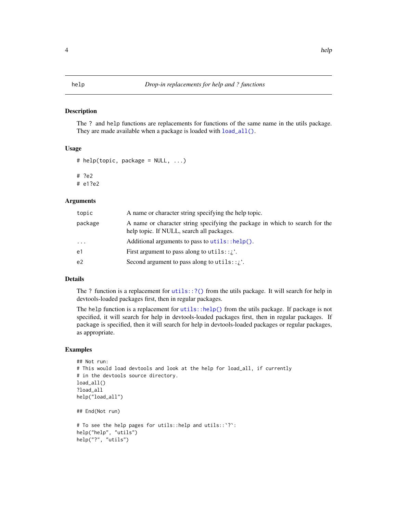The ? and help functions are replacements for functions of the same name in the utils package. They are made available when a package is loaded with  $load\_all()$ .

#### Usage

```
# help(topic, package = NULL, ...)
```
# ?e2

# e1?e2

# Arguments

| A name or character string specifying the package in which to search for the<br>package<br>help topic. If NULL, search all packages. |  |
|--------------------------------------------------------------------------------------------------------------------------------------|--|
| Additional arguments to pass to $utils::help()$ .<br>$\ddots$                                                                        |  |
| First argument to pass along to utils: $\chi$ <sup>'</sup> .<br>e1                                                                   |  |
| Second argument to pass along to utils:: $\chi$ .<br>e2                                                                              |  |

# Details

The ? function is a replacement for  $utils::?()$  from the utils package. It will search for help in devtools-loaded packages first, then in regular packages.

The help function is a replacement for [utils::help\(\)](#page-0-0) from the utils package. If package is not specified, it will search for help in devtools-loaded packages first, then in regular packages. If package is specified, then it will search for help in devtools-loaded packages or regular packages, as appropriate.

#### Examples

```
## Not run:
# This would load devtools and look at the help for load_all, if currently
# in the devtools source directory.
load_all()
?load_all
help("load_all")
## End(Not run)
# To see the help pages for utils::help and utils::`?`:
help("help", "utils")
help("?", "utils")
```
# <span id="page-3-0"></span>4 help has been also been also been also been also been also been also been also been also been also been also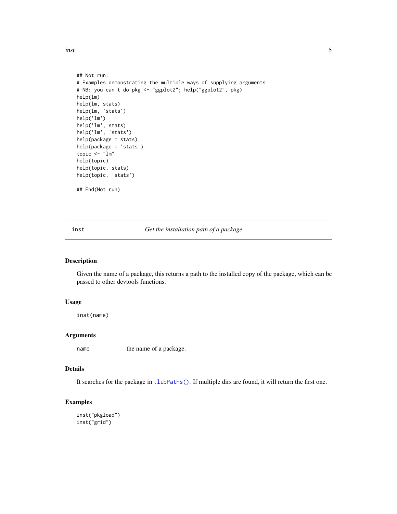<span id="page-4-0"></span>inst 5

```
## Not run:
# Examples demonstrating the multiple ways of supplying arguments
# NB: you can't do pkg <- "ggplot2"; help("ggplot2", pkg)
help(lm)
help(lm, stats)
help(lm, 'stats')
help('lm')
help('lm', stats)
help('lm', 'stats')
help(package = stats)
help(package = 'stats')
topic <- "lm"
help(topic)
help(topic, stats)
help(topic, 'stats')
## End(Not run)
```
inst *Get the installation path of a package*

# Description

Given the name of a package, this returns a path to the installed copy of the package, which can be passed to other devtools functions.

#### Usage

inst(name)

# Arguments

name the name of a package.

#### Details

It searches for the package in . libPaths(). If multiple dirs are found, it will return the first one.

# Examples

inst("pkgload") inst("grid")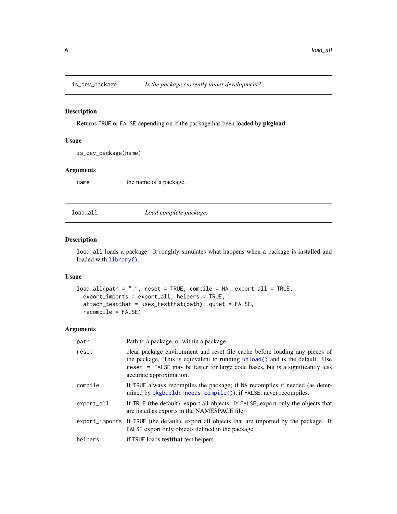<span id="page-5-0"></span>

Returns TRUE or FALSE depending on if the package has been loaded by pkgload.

# Usage

is\_dev\_package(name)

# Arguments

name the name of a package.

<span id="page-5-1"></span>load\_all *Load complete package.*

# Description

load\_all loads a package. It roughly simulates what happens when a package is installed and loaded with [library\(\)](#page-0-0).

# Usage

```
load_all(path = ".", reset = TRUE, compile = NA, export_all = TRUE,
  export_imports = export_all, helpers = TRUE,
 attach_testthat = uses_testthat(path), quiet = FALSE,
  recompile = FALSE)
```
#### Arguments

| path       | Path to a package, or within a package.                                                                                                                                                                                                                                |
|------------|------------------------------------------------------------------------------------------------------------------------------------------------------------------------------------------------------------------------------------------------------------------------|
| reset      | clear package environment and reset file cache before loading any pieces of<br>the package. This is equivalent to running unload() and is the default. Use<br>reset = FALSE may be faster for large code bases, but is a significantly less<br>accurate approximation. |
| compile    | If TRUE always recompiles the package; if NA recompiles if needed (as deter-<br>mined by pkgbuild::needs_compile()); if FALSE, never recompiles.                                                                                                                       |
| export_all | If TRUE (the default), export all objects. If FALSE, export only the objects that<br>are listed as exports in the NAMESPACE file.                                                                                                                                      |
|            | export_imports If TRUE (the default), export all objects that are imported by the package. If<br>FALSE export only objects defined in the package.                                                                                                                     |
| helpers    | if TRUE loads <b>test that</b> test helpers.                                                                                                                                                                                                                           |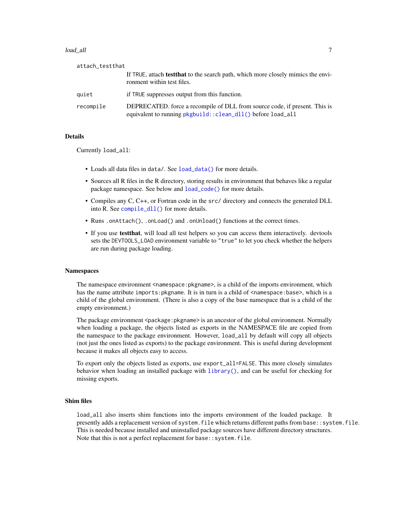#### <span id="page-6-0"></span>load\_all 7

| attach_testthat |                                                                                                                                           |
|-----------------|-------------------------------------------------------------------------------------------------------------------------------------------|
|                 | If TRUE, attach <b>test that</b> to the search path, which more closely mimics the envi-<br>ronment within test files.                    |
| quiet           | if TRUE suppresses output from this function.                                                                                             |
| recompile       | DEPRECATED, force a recompile of DLL from source code, if present. This is<br>equivalent to running pkgbuild::clean_dll() before load_all |

#### Details

Currently load\_all:

- Loads all data files in data/. See [load\\_data\(\)](#page-7-1) for more details.
- Sources all R files in the R directory, storing results in environment that behaves like a regular package namespace. See below and [load\\_code\(\)](#page-7-2) for more details.
- Compiles any C, C++, or Fortran code in the src/ directory and connects the generated DLL into R. See [compile\\_dll\(\)](#page-0-0) for more details.
- Runs .onAttach(), .onLoad() and .onUnload() functions at the correct times.
- If you use **test that**, will load all test helpers so you can access them interactively. devtools sets the DEVTOOLS\_LOAD environment variable to "true" to let you check whether the helpers are run during package loading.

#### Namespaces

The namespace environment <namespace: pkgname>, is a child of the imports environment, which has the name attribute imports: pkgname. It is in turn is a child of  $\leq$  namespace: base>, which is a child of the global environment. (There is also a copy of the base namespace that is a child of the empty environment.)

The package environment <package: pkgname> is an ancestor of the global environment. Normally when loading a package, the objects listed as exports in the NAMESPACE file are copied from the namespace to the package environment. However, load\_all by default will copy all objects (not just the ones listed as exports) to the package environment. This is useful during development because it makes all objects easy to access.

To export only the objects listed as exports, use export\_all=FALSE. This more closely simulates behavior when loading an installed package with [library\(\)](#page-0-0), and can be useful for checking for missing exports.

#### Shim files

load\_all also inserts shim functions into the imports environment of the loaded package. It presently adds a replacement version of system.file which returns different paths from base::system.file. This is needed because installed and uninstalled package sources have different directory structures. Note that this is not a perfect replacement for base::system.file.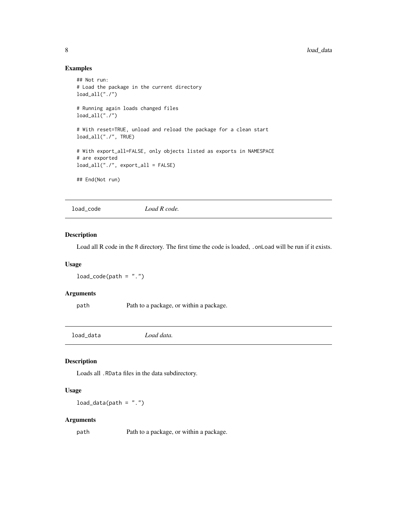# Examples

```
## Not run:
# Load the package in the current directory
load\_all("./")# Running again loads changed files
load_all("./")
# With reset=TRUE, unload and reload the package for a clean start
load_all("./", TRUE)
# With export_all=FALSE, only objects listed as exports in NAMESPACE
# are exported
load_all("./", export_all = FALSE)
## End(Not run)
```
<span id="page-7-2"></span>load\_code *Load R code.*

# Description

Load all R code in the R directory. The first time the code is loaded, . onLoad will be run if it exists.

#### Usage

```
load\_code(path = "."')
```
# Arguments

path Path to a package, or within a package.

<span id="page-7-1"></span>load\_data *Load data.*

#### Description

Loads all .RData files in the data subdirectory.

#### Usage

 $load_data(path = "."')$ 

# Arguments

path Path to a package, or within a package.

<span id="page-7-0"></span>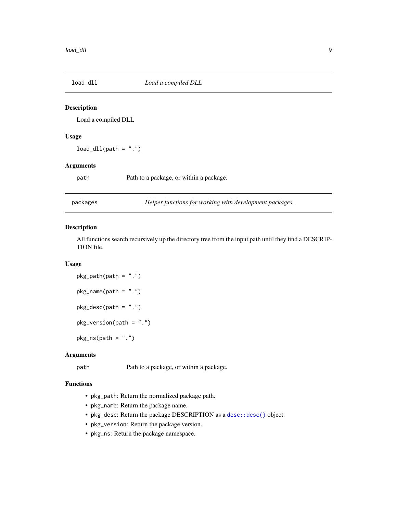<span id="page-8-0"></span>

Load a compiled DLL

#### Usage

 $load\_dll(path = ".'')$ 

# Arguments

path Path to a package, or within a package.

packages *Helper functions for working with development packages.*

# Description

All functions search recursively up the directory tree from the input path until they find a DESCRIP-TION file.

# Usage

```
pkg<sub>-</sub>path(path = ".')
pkg_name(path = "."')pkg_desc(path = ".")
pkg_version(path = ".")
pkg_ns(path = "."')
```
## Arguments

path Path to a package, or within a package.

#### Functions

- pkg\_path: Return the normalized package path.
- pkg\_name: Return the package name.
- pkg\_desc: Return the package DESCRIPTION as a [desc::desc\(\)](#page-0-0) object.
- pkg\_version: Return the package version.
- pkg\_ns: Return the package namespace.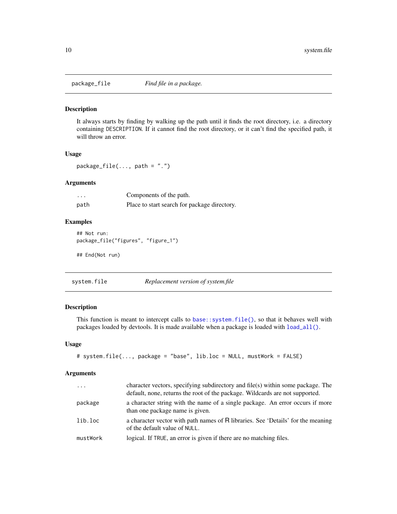<span id="page-9-0"></span>

It always starts by finding by walking up the path until it finds the root directory, i.e. a directory containing DESCRIPTION. If it cannot find the root directory, or it can't find the specified path, it will throw an error.

#### Usage

package\_file $(...,$  path = ".")

## Arguments

| $\cdots$ | Components of the path.                      |
|----------|----------------------------------------------|
| path     | Place to start search for package directory. |

# Examples

```
## Not run:
package_file("figures", "figure_1")
```
## End(Not run)

| system.file | Replacement version of system.file |  |
|-------------|------------------------------------|--|
|             |                                    |  |

# Description

This function is meant to intercept calls to base:: $s$ ystem.file(), so that it behaves well with packages loaded by devtools. It is made available when a package is loaded with [load\\_all\(\)](#page-5-1).

#### Usage

```
# system.file(..., package = "base", lib.loc = NULL, mustWork = FALSE)
```
#### Arguments

| $\cdots$ | character vectors, specifying subdirectory and file(s) within some package. The<br>default, none, returns the root of the package. Wildcards are not supported. |
|----------|-----------------------------------------------------------------------------------------------------------------------------------------------------------------|
| package  | a character string with the name of a single package. An error occurs if more<br>than one package name is given.                                                |
| lib.loc  | a character vector with path names of R libraries. See 'Details' for the meaning<br>of the default value of NULL.                                               |
| mustWork | logical. If TRUE, an error is given if there are no matching files.                                                                                             |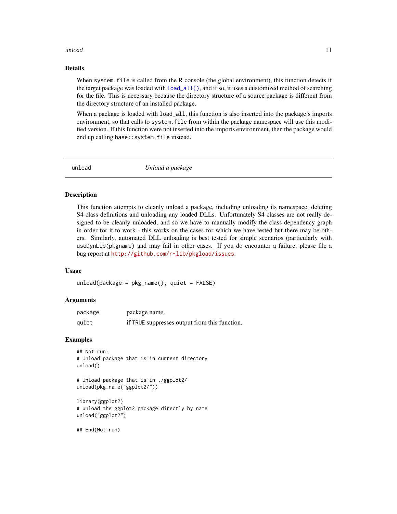#### <span id="page-10-0"></span>unload and the contract of the contract of the contract of the contract of the contract of the contract of the contract of the contract of the contract of the contract of the contract of the contract of the contract of the

# Details

When system. file is called from the R console (the global environment), this function detects if the target package was loaded with  $load\_all()$ , and if so, it uses a customized method of searching for the file. This is necessary because the directory structure of a source package is different from the directory structure of an installed package.

When a package is loaded with  $load\_all$ , this function is also inserted into the package's imports environment, so that calls to system.file from within the package namespace will use this modified version. If this function were not inserted into the imports environment, then the package would end up calling base::system.file instead.

<span id="page-10-1"></span>

unload *Unload a package*

#### Description

This function attempts to cleanly unload a package, including unloading its namespace, deleting S4 class definitions and unloading any loaded DLLs. Unfortunately S4 classes are not really designed to be cleanly unloaded, and so we have to manually modify the class dependency graph in order for it to work - this works on the cases for which we have tested but there may be others. Similarly, automated DLL unloading is best tested for simple scenarios (particularly with useDynLib(pkgname) and may fail in other cases. If you do encounter a failure, please file a bug report at <http://github.com/r-lib/pkgload/issues>.

#### Usage

```
unload(package = pkg_name(), quiet = FALSE)
```
#### Arguments

| package | package name.                                 |
|---------|-----------------------------------------------|
| quiet   | if TRUE suppresses output from this function. |

#### Examples

```
## Not run:
# Unload package that is in current directory
unload()
```

```
# Unload package that is in ./ggplot2/
unload(pkg_name("ggplot2/"))
```

```
library(ggplot2)
# unload the ggplot2 package directly by name
unload("ggplot2")
```
## End(Not run)